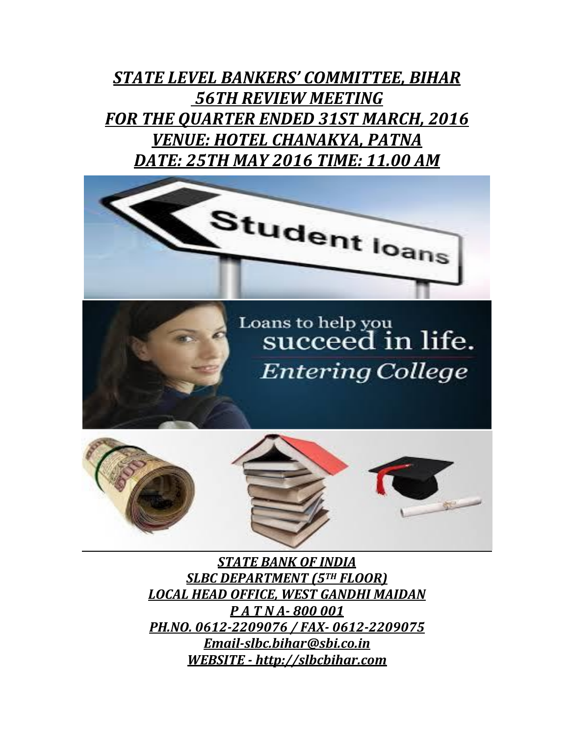*STATE LEVEL BANKERS' COMMITTEE, BIHAR 56TH REVIEW MEETING FOR THE QUARTER ENDED 31ST MARCH, 2016 VENUE: HOTEL CHANAKYA, PATNA DATE: 25TH MAY 2016 TIME: 11.00 AM*



*STATE BANK OF INDIA SLBC DEPARTMENT (5TH FLOOR) LOCAL HEAD OFFICE, WEST GANDHI MAIDAN P A T N A- 800 001 PH.NO. 0612-2209076 / FAX- 0612-2209075 [Email-slbc.bihar@sbi.co.in](mailto:Email-slbc.bihar@sbi.co.in) WEBSITE - [http://slbcbihar.com](http://slbcbihar.com/)*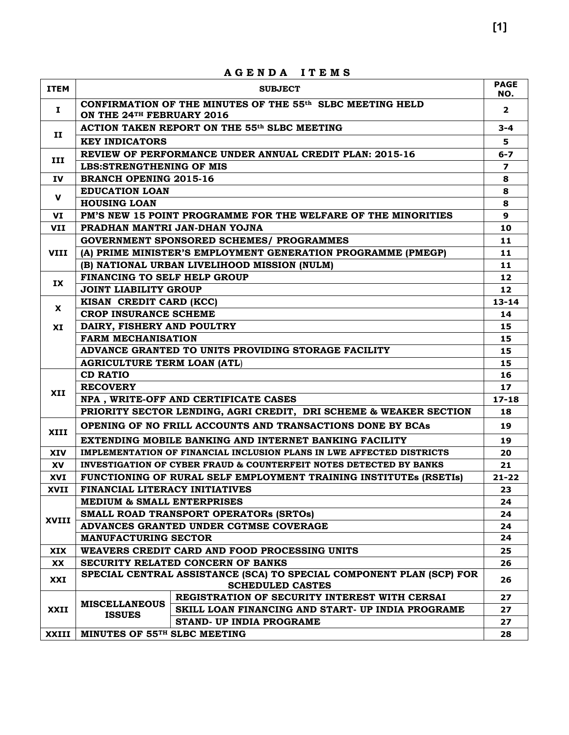| <b>ITEM</b> |                                                        | <b>SUBJECT</b>                                                                                  | <b>PAGE</b>       |  |  |  |
|-------------|--------------------------------------------------------|-------------------------------------------------------------------------------------------------|-------------------|--|--|--|
|             |                                                        | CONFIRMATION OF THE MINUTES OF THE 55 <sup>th</sup> SLBC MEETING HELD                           | NO.               |  |  |  |
| Ι.          | ON THE 24 <sup>TH</sup> FEBRUARY 2016                  |                                                                                                 | $\overline{2}$    |  |  |  |
| п           |                                                        | ACTION TAKEN REPORT ON THE 55th SLBC MEETING                                                    | $3 - 4$           |  |  |  |
|             | <b>KEY INDICATORS</b>                                  |                                                                                                 | 5.                |  |  |  |
| III         |                                                        | REVIEW OF PERFORMANCE UNDER ANNUAL CREDIT PLAN: 2015-16                                         | $6 - 7$           |  |  |  |
|             | LBS:STRENGTHENING OF MIS                               |                                                                                                 | 7                 |  |  |  |
| IV          | <b>BRANCH OPENING 2015-16</b>                          |                                                                                                 | 8                 |  |  |  |
| $\mathbf v$ | <b>EDUCATION LOAN</b>                                  |                                                                                                 | 8                 |  |  |  |
|             | <b>HOUSING LOAN</b>                                    |                                                                                                 |                   |  |  |  |
| VI          |                                                        | PM'S NEW 15 POINT PROGRAMME FOR THE WELFARE OF THE MINORITIES                                   | 9                 |  |  |  |
| VII         |                                                        | PRADHAN MANTRI JAN-DHAN YOJNA                                                                   | 10                |  |  |  |
|             |                                                        | <b>GOVERNMENT SPONSORED SCHEMES/ PROGRAMMES</b>                                                 | 11                |  |  |  |
| <b>VIII</b> |                                                        | (A) PRIME MINISTER'S EMPLOYMENT GENERATION PROGRAMME (PMEGP)                                    | 11                |  |  |  |
|             |                                                        | (B) NATIONAL URBAN LIVELIHOOD MISSION (NULM)                                                    | 11                |  |  |  |
| IX          | <b>FINANCING TO SELF HELP GROUP</b>                    |                                                                                                 | $12 \overline{ }$ |  |  |  |
|             | <b>JOINT LIABILITY GROUP</b>                           |                                                                                                 | 12                |  |  |  |
| X.          | KISAN CREDIT CARD (KCC)                                |                                                                                                 |                   |  |  |  |
|             | <b>CROP INSURANCE SCHEME</b>                           |                                                                                                 | 14                |  |  |  |
| XI          | DAIRY, FISHERY AND POULTRY                             |                                                                                                 |                   |  |  |  |
|             | <b>FARM MECHANISATION</b>                              |                                                                                                 |                   |  |  |  |
|             |                                                        | ADVANCE GRANTED TO UNITS PROVIDING STORAGE FACILITY                                             | 15                |  |  |  |
|             | <b>AGRICULTURE TERM LOAN (ATL)</b>                     |                                                                                                 | 15                |  |  |  |
|             | <b>CD RATIO</b>                                        |                                                                                                 | 16                |  |  |  |
| XII         | <b>RECOVERY</b>                                        |                                                                                                 | 17 <sub>2</sub>   |  |  |  |
|             |                                                        | NPA, WRITE-OFF AND CERTIFICATE CASES                                                            | $17 - 18$         |  |  |  |
|             |                                                        | PRIORITY SECTOR LENDING, AGRI CREDIT, DRI SCHEME & WEAKER SECTION                               | 18                |  |  |  |
| XIII        |                                                        | OPENING OF NO FRILL ACCOUNTS AND TRANSACTIONS DONE BY BCAs                                      |                   |  |  |  |
|             | EXTENDING MOBILE BANKING AND INTERNET BANKING FACILITY |                                                                                                 |                   |  |  |  |
| <b>XIV</b>  |                                                        | IMPLEMENTATION OF FINANCIAL INCLUSION PLANS IN LWE AFFECTED DISTRICTS                           | 20                |  |  |  |
| <b>XV</b>   |                                                        | INVESTIGATION OF CYBER FRAUD & COUNTERFEIT NOTES DETECTED BY BANKS                              | 21                |  |  |  |
| XVI         |                                                        | <b>FUNCTIONING OF RURAL SELF EMPLOYMENT TRAINING INSTITUTES (RSETIS)</b>                        | $21 - 22$         |  |  |  |
| XVII        | FINANCIAL LITERACY INITIATIVES                         |                                                                                                 | 23                |  |  |  |
|             | <b>MEDIUM &amp; SMALL ENTERPRISES</b>                  |                                                                                                 | 24                |  |  |  |
| XVIII       |                                                        | SMALL ROAD TRANSPORT OPERATORS (SRTOS)                                                          | 24                |  |  |  |
|             |                                                        | ADVANCES GRANTED UNDER CGTMSE COVERAGE                                                          | 24                |  |  |  |
|             | <b>MANUFACTURING SECTOR</b>                            |                                                                                                 | 24                |  |  |  |
| XIX         |                                                        | WEAVERS CREDIT CARD AND FOOD PROCESSING UNITS                                                   | 25                |  |  |  |
| XX          |                                                        | SECURITY RELATED CONCERN OF BANKS                                                               | 26                |  |  |  |
| XXI         |                                                        | SPECIAL CENTRAL ASSISTANCE (SCA) TO SPECIAL COMPONENT PLAN (SCP) FOR<br><b>SCHEDULED CASTES</b> | 26                |  |  |  |
|             | <b>MISCELLANEOUS</b>                                   | REGISTRATION OF SECURITY INTEREST WITH CERSAI                                                   | 27                |  |  |  |
| XXII        | <b>ISSUES</b>                                          | SKILL LOAN FINANCING AND START- UP INDIA PROGRAME                                               | 27                |  |  |  |
|             |                                                        | STAND- UP INDIA PROGRAME                                                                        | 27                |  |  |  |
| XXIII       | MINUTES OF 55TH SLBC MEETING                           |                                                                                                 |                   |  |  |  |

**A G E N D A I T E M S**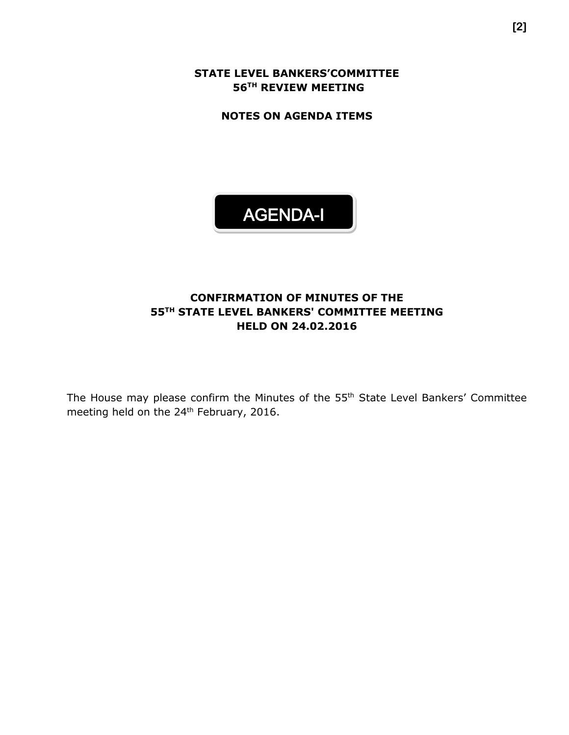**STATE LEVEL BANKERS'COMMITTEE 56 TH REVIEW MEETING**

**NOTES ON AGENDA ITEMS**



## **CONFIRMATION OF MINUTES OF THE 55TH STATE LEVEL BANKERS' COMMITTEE MEETING HELD ON 24.02.2016**

The House may please confirm the Minutes of the 55<sup>th</sup> State Level Bankers' Committee meeting held on the 24<sup>th</sup> February, 2016.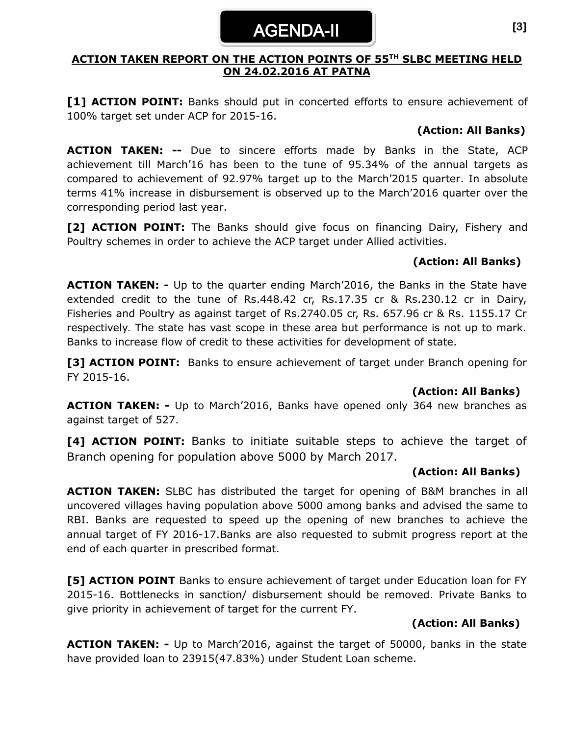# AGENDA-II

## **ACTION TAKEN REPORT ON THE ACTION POINTS OF 55 TH SLBC MEETING HELD ON 24.02.2016 AT PATNA**

**[1] ACTION POINT:** Banks should put in concerted efforts to ensure achievement of 100% target set under ACP for 2015-16.

## **(Action: All Banks)**

**ACTION TAKEN: --** Due to sincere efforts made by Banks in the State, ACP achievement till March'16 has been to the tune of 95.34% of the annual targets as compared to achievement of 92.97% target up to the March'2015 quarter. In absolute terms 41% increase in disbursement is observed up to the March'2016 quarter over the corresponding period last year.

**[2] ACTION POINT:** The Banks should give focus on financing Dairy, Fishery and Poultry schemes in order to achieve the ACP target under Allied activities.

## **(Action: All Banks)**

**ACTION TAKEN: -** Up to the quarter ending March'2016, the Banks in the State have extended credit to the tune of Rs.448.42 cr, Rs.17.35 cr & Rs.230.12 cr in Dairy, Fisheries and Poultry as against target of Rs.2740.05 cr, Rs. 657.96 cr & Rs. 1155.17 Cr respectively. The state has vast scope in these area but performance is not up to mark. Banks to increase flow of credit to these activities for development of state.

**[3] ACTION POINT:** Banks to ensure achievement of target under Branch opening for FY 2015-16.

## **(Action: All Banks)**

**ACTION TAKEN: -** Up to March'2016, Banks have opened only 364 new branches as against target of 527.

**[4] ACTION POINT:** Banks to initiate suitable steps to achieve the target of Branch opening for population above 5000 by March 2017.

## **(Action: All Banks)**

**ACTION TAKEN:** SLBC has distributed the target for opening of B&M branches in all uncovered villages having population above 5000 among banks and advised the same to RBI. Banks are requested to speed up the opening of new branches to achieve the annual target of FY 2016-17.Banks are also requested to submit progress report at the end of each quarter in prescribed format.

**[5] ACTION POINT** Banks to ensure achievement of target under Education loan for FY 2015-16. Bottlenecks in sanction/ disbursement should be removed. Private Banks to give priority in achievement of target for the current FY.

## **(Action: All Banks)**

**ACTION TAKEN: -** Up to March'2016, against the target of 50000, banks in the state have provided loan to 23915(47.83%) under Student Loan scheme.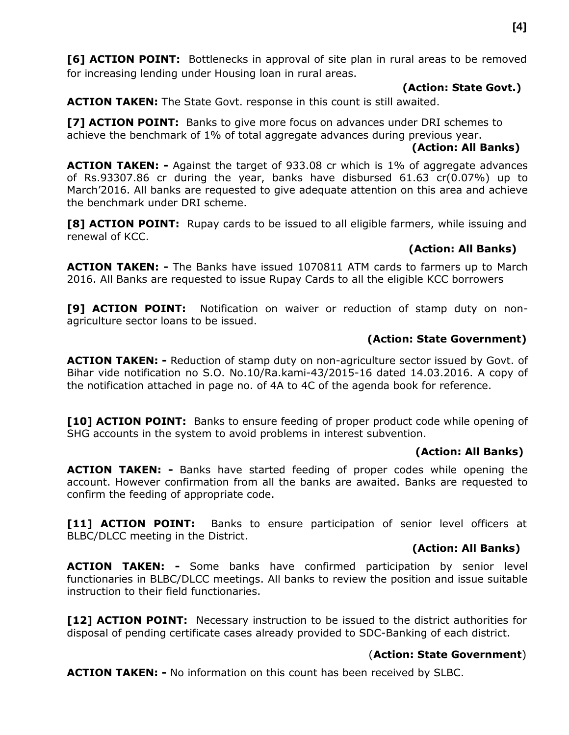**[6] ACTION POINT:** Bottlenecks in approval of site plan in rural areas to be removed for increasing lending under Housing loan in rural areas.

#### **(Action: State Govt.)**

**ACTION TAKEN:** The State Govt. response in this count is still awaited.

**[7] ACTION POINT:** Banks to give more focus on advances under DRI schemes to achieve the benchmark of 1% of total aggregate advances during previous year.

#### **(Action: All Banks)**

**ACTION TAKEN: -** Against the target of 933.08 cr which is 1% of aggregate advances of Rs.93307.86 cr during the year, banks have disbursed 61.63 cr(0.07%) up to March'2016. All banks are requested to give adequate attention on this area and achieve the benchmark under DRI scheme.

[8] **ACTION POINT:** Rupay cards to be issued to all eligible farmers, while issuing and renewal of KCC.

## **(Action: All Banks)**

**ACTION TAKEN: -** The Banks have issued 1070811 ATM cards to farmers up to March 2016. All Banks are requested to issue Rupay Cards to all the eligible KCC borrowers

**[9] ACTION POINT:** Notification on waiver or reduction of stamp duty on nonagriculture sector loans to be issued.

## **(Action: State Government)**

**ACTION TAKEN: -** Reduction of stamp duty on non-agriculture sector issued by Govt. of Bihar vide notification no S.O. No.10/Ra.kami-43/2015-16 dated 14.03.2016. A copy of the notification attached in page no. of 4A to 4C of the agenda book for reference.

**[10] ACTION POINT:** Banks to ensure feeding of proper product code while opening of SHG accounts in the system to avoid problems in interest subvention.

## **(Action: All Banks)**

**ACTION TAKEN: -** Banks have started feeding of proper codes while opening the account. However confirmation from all the banks are awaited. Banks are requested to confirm the feeding of appropriate code.

[11] **ACTION POINT:** Banks to ensure participation of senior level officers at BLBC/DLCC meeting in the District.

## **(Action: All Banks)**

**ACTION TAKEN: -** Some banks have confirmed participation by senior level functionaries in BLBC/DLCC meetings. All banks to review the position and issue suitable instruction to their field functionaries.

[12] **ACTION POINT:** Necessary instruction to be issued to the district authorities for disposal of pending certificate cases already provided to SDC-Banking of each district.

## (**Action: State Government**)

**ACTION TAKEN: -** No information on this count has been received by SLBC.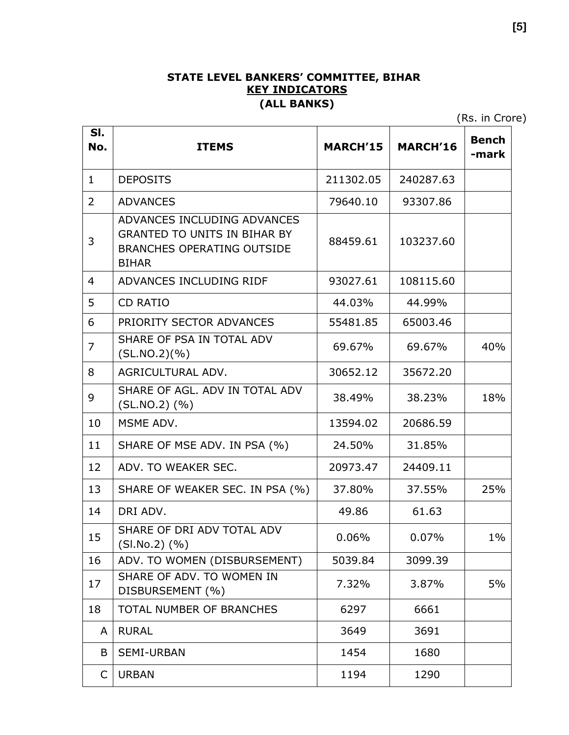#### **STATE LEVEL BANKERS' COMMITTEE, BIHAR KEY INDICATORS (ALL BANKS)**

(Rs. in Crore)

| SI.<br>No.     | <b>ITEMS</b>                                                                                                            | <b>MARCH'15</b> | <b>MARCH'16</b> | <b>Bench</b><br>-mark |
|----------------|-------------------------------------------------------------------------------------------------------------------------|-----------------|-----------------|-----------------------|
| $\mathbf{1}$   | <b>DEPOSITS</b>                                                                                                         | 211302.05       | 240287.63       |                       |
| $\overline{2}$ | <b>ADVANCES</b>                                                                                                         | 79640.10        | 93307.86        |                       |
| 3              | ADVANCES INCLUDING ADVANCES<br><b>GRANTED TO UNITS IN BIHAR BY</b><br><b>BRANCHES OPERATING OUTSIDE</b><br><b>BIHAR</b> | 88459.61        | 103237.60       |                       |
| $\overline{4}$ | ADVANCES INCLUDING RIDF                                                                                                 | 93027.61        | 108115.60       |                       |
| 5              | <b>CD RATIO</b>                                                                                                         | 44.03%          | 44.99%          |                       |
| 6              | PRIORITY SECTOR ADVANCES                                                                                                | 55481.85        | 65003.46        |                       |
| $\overline{7}$ | SHARE OF PSA IN TOTAL ADV<br>(SL.NO.2)(%)                                                                               | 69.67%          | 69.67%          | 40%                   |
| 8              | AGRICULTURAL ADV.                                                                                                       | 30652.12        | 35672.20        |                       |
| 9              | SHARE OF AGL, ADV IN TOTAL ADV<br>$(SLNO.2)$ $(\% )$                                                                    | 38.49%          | 38.23%          | 18%                   |
| 10             | MSME ADV.                                                                                                               | 13594.02        | 20686.59        |                       |
| 11             | SHARE OF MSE ADV. IN PSA (%)                                                                                            | 24.50%          | 31.85%          |                       |
| 12             | ADV. TO WEAKER SEC.                                                                                                     | 20973.47        | 24409.11        |                       |
| 13             | SHARE OF WEAKER SEC. IN PSA (%)                                                                                         | 37.80%          | 37.55%          | 25%                   |
| 14             | DRI ADV.                                                                                                                | 49.86           | 61.63           |                       |
| 15             | SHARE OF DRI ADV TOTAL ADV<br>$(SI.No.2)$ $(\% )$                                                                       | 0.06%           | 0.07%           | $1\%$                 |
| 16             | ADV. TO WOMEN (DISBURSEMENT)                                                                                            | 5039.84         | 3099.39         |                       |
| 17             | SHARE OF ADV. TO WOMEN IN<br>DISBURSEMENT (%)                                                                           | 7.32%           | 3.87%           | 5%                    |
| 18             | TOTAL NUMBER OF BRANCHES                                                                                                | 6297            | 6661            |                       |
| A              | <b>RURAL</b>                                                                                                            | 3649            | 3691            |                       |
| B              | <b>SEMI-URBAN</b>                                                                                                       | 1454            | 1680            |                       |
| C              | <b>URBAN</b>                                                                                                            | 1194            | 1290            |                       |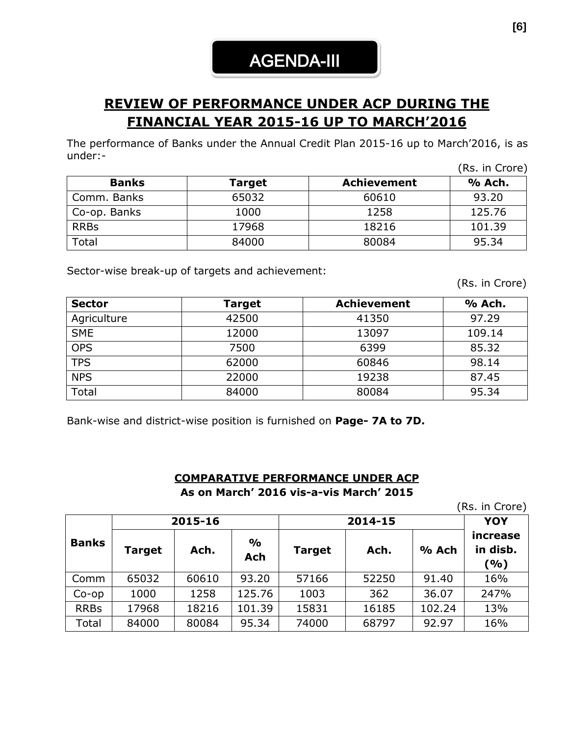# **REVIEW OF PERFORMANCE UNDER ACP DURING THE FINANCIAL YEAR 2015-16 UP TO MARCH'2016**

The performance of Banks under the Annual Credit Plan 2015-16 up to March'2016, is as under:- (Rs. in Crore)

|              |        |                    | (RS. In Crore) |
|--------------|--------|--------------------|----------------|
| <b>Banks</b> | Target | <b>Achievement</b> | % Ach.         |
| Comm. Banks  | 65032  | 60610              | 93.20          |
| Co-op. Banks | 1000   | 1258               | 125.76         |
| <b>RRBs</b>  | 17968  | 18216              | 101.39         |
| Total        | 84000  | 80084              | 95.34          |

Sector-wise break-up of targets and achievement:

(Rs. in Crore)

| <b>Sector</b> | Target | <b>Achievement</b> | % Ach. |
|---------------|--------|--------------------|--------|
| Agriculture   | 42500  | 41350              | 97.29  |
| <b>SME</b>    | 12000  | 13097              | 109.14 |
| <b>OPS</b>    | 7500   | 6399               | 85.32  |
| <b>TPS</b>    | 62000  | 60846              | 98.14  |
| <b>NPS</b>    | 22000  | 19238              | 87.45  |
| Total         | 84000  | 80084              | 95.34  |

Bank-wise and district-wise position is furnished on **Page- 7A to 7D.**

## **COMPARATIVE PERFORMANCE UNDER ACP As on March' 2016 vis-a-vis March' 2015**

(Rs. in Crore)

|              | 2015-16 |       |                             |               | <b>YOY</b> |        |                             |
|--------------|---------|-------|-----------------------------|---------------|------------|--------|-----------------------------|
| <b>Banks</b> | Target  | Ach.  | $\frac{0}{0}$<br><b>Ach</b> | <b>Target</b> | Ach.       | % Ach  | increase<br>in disb.<br>(%) |
| Comm         | 65032   | 60610 | 93.20                       | 57166         | 52250      | 91.40  | 16%                         |
| $Co$ -op     | 1000    | 1258  | 125.76                      | 1003          | 362        | 36.07  | 247%                        |
| <b>RRBs</b>  | 17968   | 18216 | 101.39                      | 15831         | 16185      | 102.24 | 13%                         |
| Total        | 84000   | 80084 | 95.34                       | 74000         | 68797      | 92.97  | 16%                         |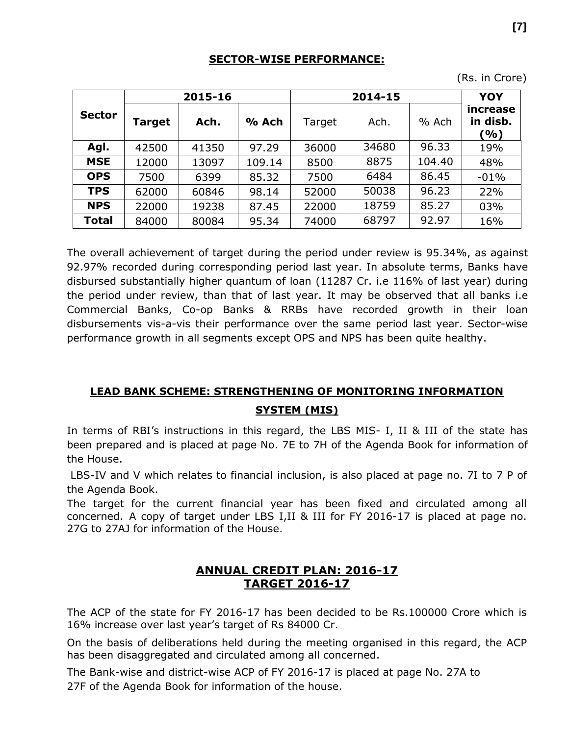## **SECTOR-WISE PERFORMANCE:**

(Rs. in Crore)

|               |               | 2015-16 |        |        | YOY   |        |                                           |
|---------------|---------------|---------|--------|--------|-------|--------|-------------------------------------------|
| <b>Sector</b> | <b>Target</b> | Ach.    | % Ach  | Target | Ach.  | % Ach  | increase<br>in disb.<br>$\mathcal{O}_0$ ) |
| Agl.          | 42500         | 41350   | 97.29  | 36000  | 34680 | 96.33  | 19%                                       |
| <b>MSE</b>    | 12000         | 13097   | 109.14 | 8500   | 8875  | 104.40 | 48%                                       |
| <b>OPS</b>    | 7500          | 6399    | 85.32  | 7500   | 6484  | 86.45  | $-01%$                                    |
| <b>TPS</b>    | 62000         | 60846   | 98.14  | 52000  | 50038 | 96.23  | 22%                                       |
| <b>NPS</b>    | 22000         | 19238   | 87.45  | 22000  | 18759 | 85.27  | 03%                                       |
| <b>Total</b>  | 84000         | 80084   | 95.34  | 74000  | 68797 | 92.97  | 16%                                       |

The overall achievement of target during the period under review is 95.34%, as against 92.97% recorded during corresponding period last year. In absolute terms, Banks have disbursed substantially higher quantum of loan (11287 Cr. i.e 116% of last year) during the period under review, than that of last year. It may be observed that all banks i.e Commercial Banks, Co-op Banks & RRBs have recorded growth in their loan disbursements vis-a-vis their performance over the same period last year. Sector-wise performance growth in all segments except OPS and NPS has been quite healthy.

## **LEAD BANK SCHEME: STRENGTHENING OF MONITORING INFORMATION SYSTEM (MIS)**

In terms of RBI's instructions in this regard, the LBS MIS- I, II & III of the state has been prepared and is placed at page No. 7E to 7H of the Agenda Book for information of the House.

LBS-IV and V which relates to financial inclusion, is also placed at page no. 7I to 7 P of the Agenda Book.

The target for the current financial year has been fixed and circulated among all concerned. A copy of target under LBS I,II & III for FY 2016-17 is placed at page no. 27G to 27AJ for information of the House.

## **ANNUAL CREDIT PLAN: 2016-17 TARGET 2016-17**

The ACP of the state for FY 2016-17 has been decided to be Rs.100000 Crore which is 16% increase over last year's target of Rs 84000 Cr.

On the basis of deliberations held during the meeting organised in this regard, the ACP has been disaggregated and circulated among all concerned.

The Bank-wise and district-wise ACP of FY 2016-17 is placed at page No. 27A to 27F of the Agenda Book for information of the house.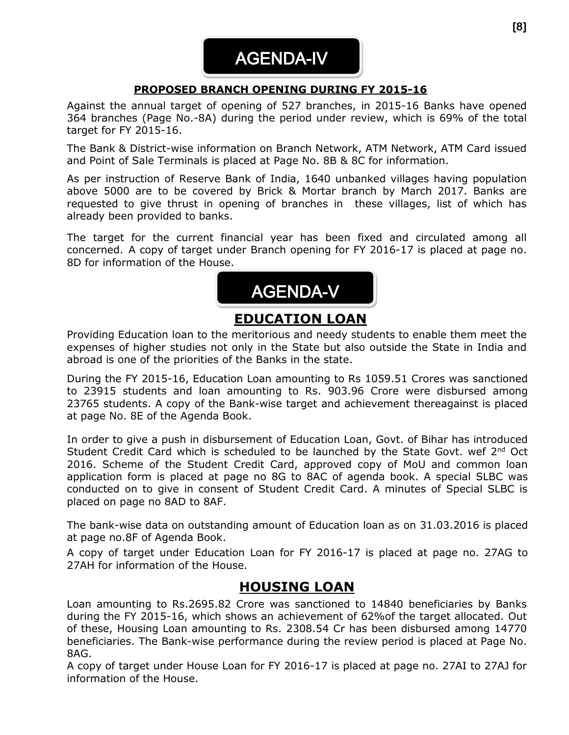# AGENDA-IV

## **PROPOSED BRANCH OPENING DURING FY 2015-16**

Against the annual target of opening of 527 branches, in 2015-16 Banks have opened 364 branches (Page No.-8A) during the period under review, which is 69% of the total target for FY 2015-16.

The Bank & District-wise information on Branch Network, ATM Network, ATM Card issued and Point of Sale Terminals is placed at Page No. 8B & 8C for information.

As per instruction of Reserve Bank of India, 1640 unbanked villages having population above 5000 are to be covered by Brick & Mortar branch by March 2017. Banks are requested to give thrust in opening of branches in these villages, list of which has already been provided to banks.

The target for the current financial year has been fixed and circulated among all concerned. A copy of target under Branch opening for FY 2016-17 is placed at page no. 8D for information of the House.



## **EDUCATION LOAN**

Providing Education loan to the meritorious and needy students to enable them meet the expenses of higher studies not only in the State but also outside the State in India and abroad is one of the priorities of the Banks in the state.

During the FY 2015-16, Education Loan amounting to Rs 1059.51 Crores was sanctioned to 23915 students and loan amounting to Rs. 903.96 Crore were disbursed among 23765 students. A copy of the Bank-wise target and achievement thereagainst is placed at page No. 8E of the Agenda Book.

In order to give a push in disbursement of Education Loan, Govt. of Bihar has introduced Student Credit Card which is scheduled to be launched by the State Govt. wef 2<sup>nd</sup> Oct 2016. Scheme of the Student Credit Card, approved copy of MoU and common loan application form is placed at page no 8G to 8AC of agenda book. A special SLBC was conducted on to give in consent of Student Credit Card. A minutes of Special SLBC is placed on page no 8AD to 8AF.

The bank-wise data on outstanding amount of Education loan as on 31.03.2016 is placed at page no.8F of Agenda Book.

A copy of target under Education Loan for FY 2016-17 is placed at page no. 27AG to 27AH for information of the House.

## **HOUSING LOAN**

Loan amounting to Rs.2695.82 Crore was sanctioned to 14840 beneficiaries by Banks during the FY 2015-16, which shows an achievement of 62%of the target allocated. Out of these, Housing Loan amounting to Rs. 2308.54 Cr has been disbursed among 14770 beneficiaries. The Bank-wise performance during the review period is placed at Page No. 8AG.

A copy of target under House Loan for FY 2016-17 is placed at page no. 27AI to 27AJ for information of the House.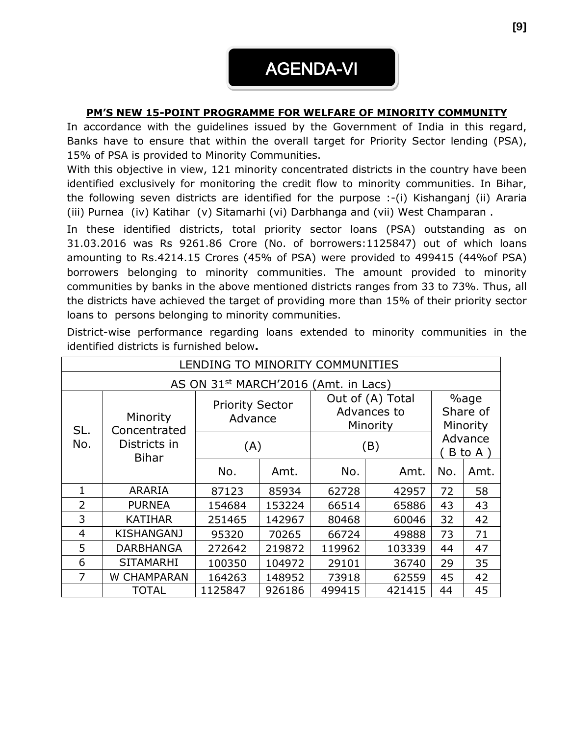## **PM'S NEW 15-POINT PROGRAMME FOR WELFARE OF MINORITY COMMUNITY**

In accordance with the guidelines issued by the Government of India in this regard, Banks have to ensure that within the overall target for Priority Sector lending (PSA), 15% of PSA is provided to Minority Communities.

With this objective in view, 121 minority concentrated districts in the country have been identified exclusively for monitoring the credit flow to minority communities. In Bihar, the following seven districts are identified for the purpose :-(i) Kishanganj (ii) Araria (iii) Purnea (iv) Katihar (v) Sitamarhi (vi) Darbhanga and (vii) West Champaran .

In these identified districts, total priority sector loans (PSA) outstanding as on 31.03.2016 was Rs 9261.86 Crore (No. of borrowers:1125847) out of which loans amounting to Rs.4214.15 Crores (45% of PSA) were provided to 499415 (44%of PSA) borrowers belonging to minority communities. The amount provided to minority communities by banks in the above mentioned districts ranges from 33 to 73%. Thus, all the districts have achieved the target of providing more than 15% of their priority sector loans to persons belonging to minority communities.

| LENDING TO MINORITY COMMUNITIES                  |                          |                                   |        |                                             |                              |                    |      |  |  |  |
|--------------------------------------------------|--------------------------|-----------------------------------|--------|---------------------------------------------|------------------------------|--------------------|------|--|--|--|
| AS ON 31 <sup>st</sup> MARCH'2016 (Amt. in Lacs) |                          |                                   |        |                                             |                              |                    |      |  |  |  |
|                                                  | Minority<br>Concentrated | <b>Priority Sector</b><br>Advance |        | Out of (A) Total<br>Advances to<br>Minority | %age<br>Share of<br>Minority |                    |      |  |  |  |
| SL.<br>No.<br>Districts in<br><b>Bihar</b>       |                          | (A)                               |        | (B)                                         |                              | Advance<br>B to A) |      |  |  |  |
|                                                  |                          | No.                               | Amt.   | No.                                         | Amt.                         | No.                | Amt. |  |  |  |
| 1                                                | <b>ARARIA</b>            | 87123                             | 85934  | 62728                                       | 42957                        | 72                 | 58   |  |  |  |
| $\overline{2}$                                   | <b>PURNEA</b>            | 154684                            | 153224 | 66514                                       | 65886                        | 43                 | 43   |  |  |  |
| 3                                                | <b>KATIHAR</b>           | 251465                            | 142967 | 80468                                       | 60046                        | 32                 | 42   |  |  |  |
| $\overline{4}$                                   | <b>KISHANGANJ</b>        | 95320                             | 70265  | 66724                                       | 49888                        | 73                 | 71   |  |  |  |
| 5                                                | <b>DARBHANGA</b>         | 272642                            | 219872 | 119962                                      | 103339                       | 44                 | 47   |  |  |  |
| 6                                                | <b>SITAMARHI</b>         | 100350                            | 104972 | 29101                                       | 36740                        | 29                 | 35   |  |  |  |
| 7                                                | W CHAMPARAN              | 164263                            | 148952 | 73918                                       | 62559                        | 45                 | 42   |  |  |  |
|                                                  | <b>TOTAL</b>             | 1125847                           | 926186 | 499415                                      | 421415                       | 44                 | 45   |  |  |  |

District-wise performance regarding loans extended to minority communities in the identified districts is furnished below**.**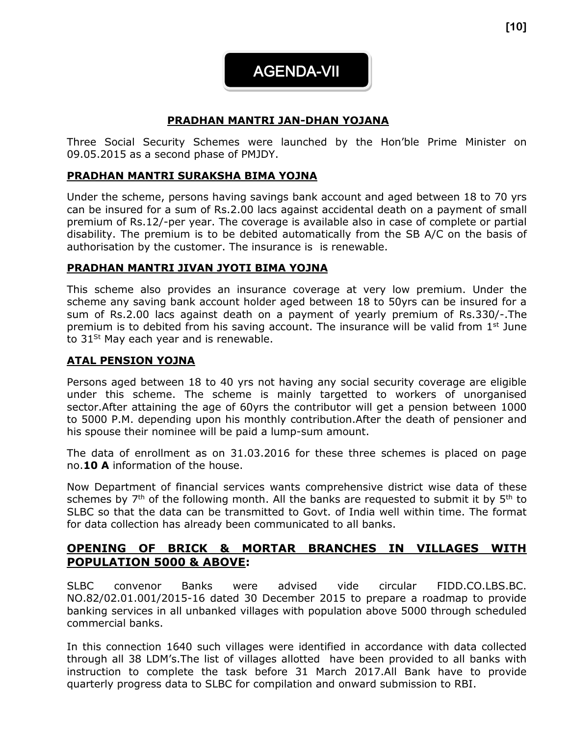**[10]**

AGENDA-VII

## **PRADHAN MANTRI JAN-DHAN YOJANA**

Three Social Security Schemes were launched by the Hon'ble Prime Minister on 09.05.2015 as a second phase of PMJDY.

## **PRADHAN MANTRI SURAKSHA BIMA YOJNA**

Under the scheme, persons having savings bank account and aged between 18 to 70 yrs can be insured for a sum of Rs.2.00 lacs against accidental death on a payment of small premium of Rs.12/-per year. The coverage is available also in case of complete or partial disability. The premium is to be debited automatically from the SB A/C on the basis of authorisation by the customer. The insurance is is renewable.

## **PRADHAN MANTRI JIVAN JYOTI BIMA YOJNA**

This scheme also provides an insurance coverage at very low premium. Under the scheme any saving bank account holder aged between 18 to 50yrs can be insured for a sum of Rs.2.00 lacs against death on a payment of yearly premium of Rs.330/-.The premium is to debited from his saving account. The insurance will be valid from  $1<sup>st</sup>$  June to  $31^{St}$  May each year and is renewable.

## **ATAL PENSION YOJNA**

Persons aged between 18 to 40 yrs not having any social security coverage are eligible under this scheme. The scheme is mainly targetted to workers of unorganised sector.After attaining the age of 60yrs the contributor will get a pension between 1000 to 5000 P.M. depending upon his monthly contribution.After the death of pensioner and his spouse their nominee will be paid a lump-sum amount.

The data of enrollment as on 31.03.2016 for these three schemes is placed on page no.**10 A** information of the house.

Now Department of financial services wants comprehensive district wise data of these schemes by  $7<sup>th</sup>$  of the following month. All the banks are requested to submit it by  $5<sup>th</sup>$  to SLBC so that the data can be transmitted to Govt. of India well within time. The format for data collection has already been communicated to all banks.

## **OPENING OF BRICK & MORTAR BRANCHES IN VILLAGES WITH POPULATION 5000 & ABOVE:**

SLBC convenor Banks were advised vide circular FIDD.CO.LBS.BC. NO.82/02.01.001/2015-16 dated 30 December 2015 to prepare a roadmap to provide banking services in all unbanked villages with population above 5000 through scheduled commercial banks.

In this connection 1640 such villages were identified in accordance with data collected through all 38 LDM's.The list of villages allotted have been provided to all banks with instruction to complete the task before 31 March 2017.All Bank have to provide quarterly progress data to SLBC for compilation and onward submission to RBI.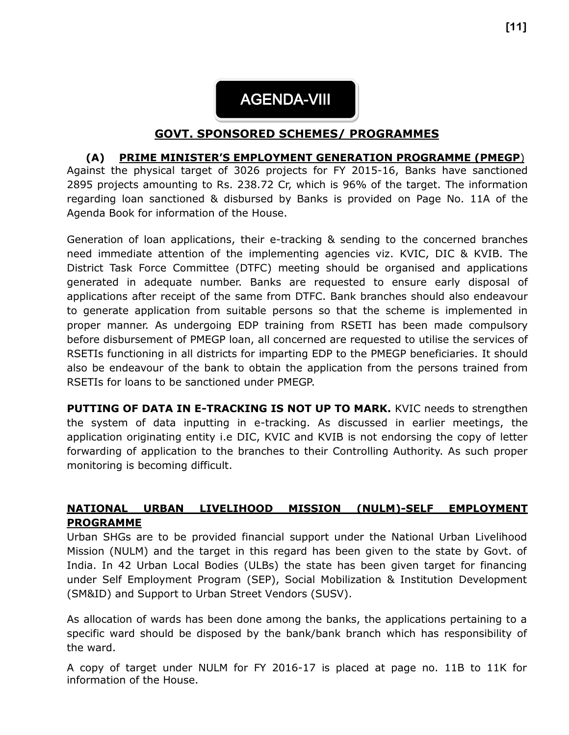

## **GOVT. SPONSORED SCHEMES/ PROGRAMMES**

#### **(A) PRIME MINISTER'S EMPLOYMENT GENERATION PROGRAMME (PMEGP**)

Against the physical target of 3026 projects for FY 2015-16, Banks have sanctioned 2895 projects amounting to Rs. 238.72 Cr, which is 96% of the target. The information regarding loan sanctioned & disbursed by Banks is provided on Page No. 11A of the Agenda Book for information of the House.

Generation of loan applications, their e-tracking & sending to the concerned branches need immediate attention of the implementing agencies viz. KVIC, DIC & KVIB. The District Task Force Committee (DTFC) meeting should be organised and applications generated in adequate number. Banks are requested to ensure early disposal of applications after receipt of the same from DTFC. Bank branches should also endeavour to generate application from suitable persons so that the scheme is implemented in proper manner. As undergoing EDP training from RSETI has been made compulsory before disbursement of PMEGP loan, all concerned are requested to utilise the services of RSETIs functioning in all districts for imparting EDP to the PMEGP beneficiaries. It should also be endeavour of the bank to obtain the application from the persons trained from RSETIs for loans to be sanctioned under PMEGP.

**PUTTING OF DATA IN E-TRACKING IS NOT UP TO MARK.** KVIC needs to strengthen the system of data inputting in e-tracking. As discussed in earlier meetings, the application originating entity i.e DIC, KVIC and KVIB is not endorsing the copy of letter forwarding of application to the branches to their Controlling Authority. As such proper monitoring is becoming difficult.

## **NATIONAL URBAN LIVELIHOOD MISSION (NULM)-SELF EMPLOYMENT PROGRAMME**

Urban SHGs are to be provided financial support under the National Urban Livelihood Mission (NULM) and the target in this regard has been given to the state by Govt. of India. In 42 Urban Local Bodies (ULBs) the state has been given target for financing under Self Employment Program (SEP), Social Mobilization & Institution Development (SM&ID) and Support to Urban Street Vendors (SUSV).

As allocation of wards has been done among the banks, the applications pertaining to a specific ward should be disposed by the bank/bank branch which has responsibility of the ward.

A copy of target under NULM for FY 2016-17 is placed at page no. 11B to 11K for information of the House.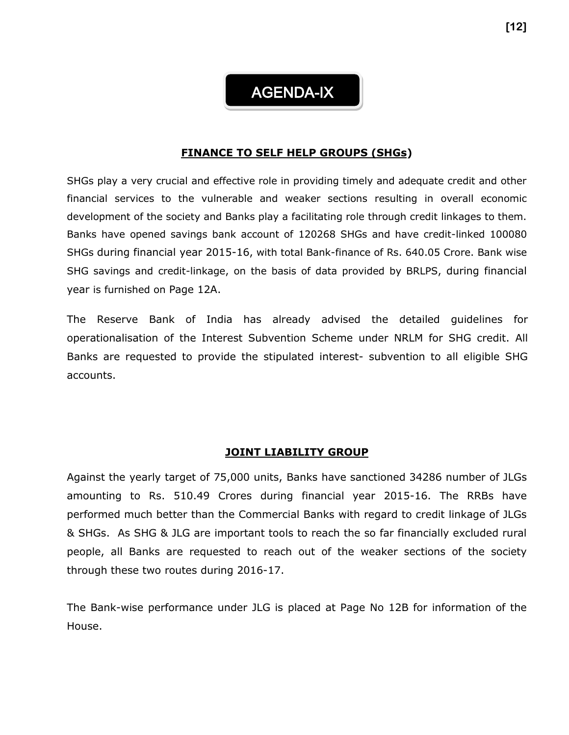## AGENDA-IX

#### **FINANCE TO SELF HELP GROUPS (SHGs)**

SHGs play a very crucial and effective role in providing timely and adequate credit and other financial services to the vulnerable and weaker sections resulting in overall economic development of the society and Banks play a facilitating role through credit linkages to them. Banks have opened savings bank account of 120268 SHGs and have credit-linked 100080 SHGs during financial year 2015-16, with total Bank-finance of Rs. 640.05 Crore. Bank wise SHG savings and credit-linkage, on the basis of data provided by BRLPS, during financial year is furnished on Page 12A.

The Reserve Bank of India has already advised the detailed guidelines for operationalisation of the Interest Subvention Scheme under NRLM for SHG credit. All Banks are requested to provide the stipulated interest- subvention to all eligible SHG accounts.

#### **JOINT LIABILITY GROUP**

Against the yearly target of 75,000 units, Banks have sanctioned 34286 number of JLGs amounting to Rs. 510.49 Crores during financial year 2015-16. The RRBs have performed much better than the Commercial Banks with regard to credit linkage of JLGs & SHGs. As SHG & JLG are important tools to reach the so far financially excluded rural people, all Banks are requested to reach out of the weaker sections of the society through these two routes during 2016-17.

The Bank-wise performance under JLG is placed at Page No 12B for information of the House.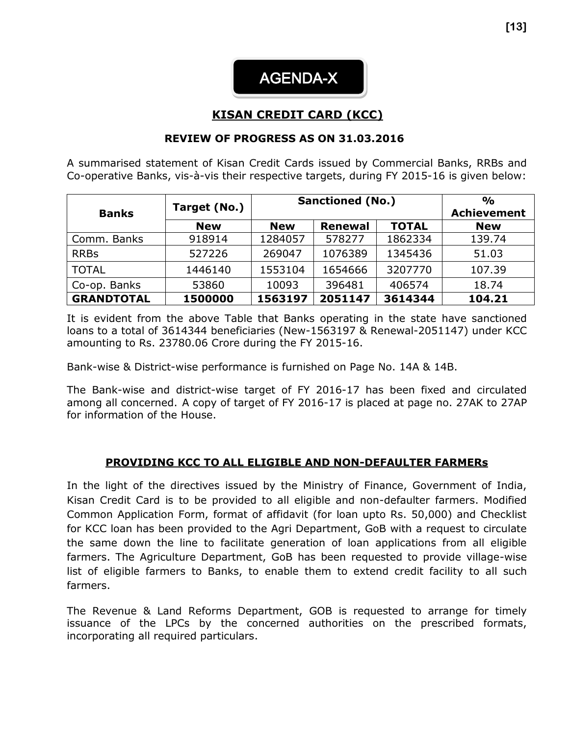

## **KISAN CREDIT CARD (KCC)**

#### **REVIEW OF PROGRESS AS ON 31.03.2016**

A summarised statement of Kisan Credit Cards issued by Commercial Banks, RRBs and Co-operative Banks, vis-à-vis their respective targets, during FY 2015-16 is given below:

|                   | Target (No.) | <b>Sanctioned (No.)</b> | $\frac{1}{2}$      |              |            |
|-------------------|--------------|-------------------------|--------------------|--------------|------------|
| <b>Banks</b>      |              |                         | <b>Achievement</b> |              |            |
|                   | <b>New</b>   | <b>New</b>              | <b>Renewal</b>     | <b>TOTAL</b> | <b>New</b> |
| Comm. Banks       | 918914       | 1284057                 | 578277             | 1862334      | 139.74     |
| <b>RRBs</b>       | 527226       | 269047                  | 1076389            | 1345436      | 51.03      |
| <b>TOTAL</b>      | 1446140      | 1553104                 | 1654666            | 3207770      | 107.39     |
| Co-op. Banks      | 53860        | 10093                   | 396481             | 406574       | 18.74      |
| <b>GRANDTOTAL</b> | 1500000      | 1563197                 | 2051147            | 3614344      | 104.21     |

It is evident from the above Table that Banks operating in the state have sanctioned loans to a total of 3614344 beneficiaries (New-1563197 & Renewal-2051147) under KCC amounting to Rs. 23780.06 Crore during the FY 2015-16.

Bank-wise & District-wise performance is furnished on Page No. 14A & 14B.

The Bank-wise and district-wise target of FY 2016-17 has been fixed and circulated among all concerned. A copy of target of FY 2016-17 is placed at page no. 27AK to 27AP for information of the House.

## **PROVIDING KCC TO ALL ELIGIBLE AND NON-DEFAULTER FARMERs**

In the light of the directives issued by the Ministry of Finance, Government of India, Kisan Credit Card is to be provided to all eligible and non-defaulter farmers. Modified Common Application Form, format of affidavit (for loan upto Rs. 50,000) and Checklist for KCC loan has been provided to the Agri Department, GoB with a request to circulate the same down the line to facilitate generation of loan applications from all eligible farmers. The Agriculture Department, GoB has been requested to provide village-wise list of eligible farmers to Banks, to enable them to extend credit facility to all such farmers.

The Revenue & Land Reforms Department, GOB is requested to arrange for timely issuance of the LPCs by the concerned authorities on the prescribed formats, incorporating all required particulars.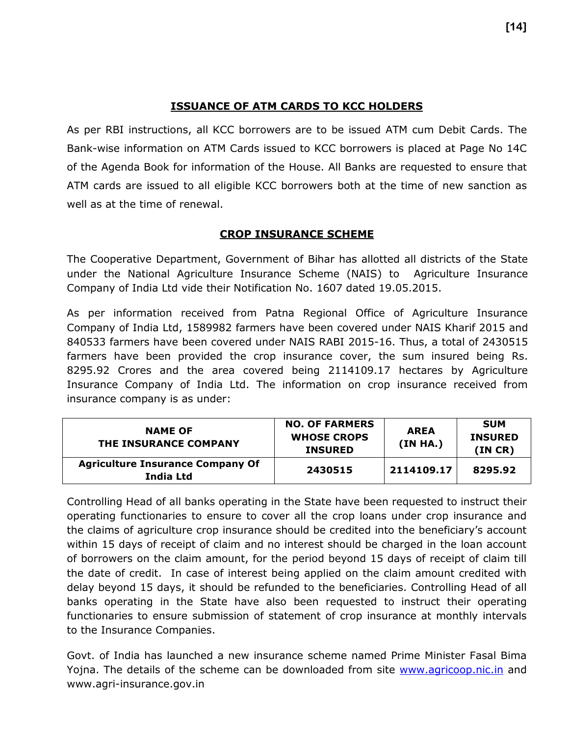## **ISSUANCE OF ATM CARDS TO KCC HOLDERS**

As per RBI instructions, all KCC borrowers are to be issued ATM cum Debit Cards. The Bank-wise information on ATM Cards issued to KCC borrowers is placed at Page No 14C of the Agenda Book for information of the House. All Banks are requested to ensure that ATM cards are issued to all eligible KCC borrowers both at the time of new sanction as well as at the time of renewal.

## **CROP INSURANCE SCHEME**

The Cooperative Department, Government of Bihar has allotted all districts of the State under the National Agriculture Insurance Scheme (NAIS) to Agriculture Insurance Company of India Ltd vide their Notification No. 1607 dated 19.05.2015.

As per information received from Patna Regional Office of Agriculture Insurance Company of India Ltd, 1589982 farmers have been covered under NAIS Kharif 2015 and 840533 farmers have been covered under NAIS RABI 2015-16. Thus, a total of 2430515 farmers have been provided the crop insurance cover, the sum insured being Rs. 8295.92 Crores and the area covered being 2114109.17 hectares by Agriculture Insurance Company of India Ltd. The information on crop insurance received from insurance company is as under:

| <b>NAME OF</b><br>THE INSURANCE COMPANY              | <b>NO. OF FARMERS</b><br><b>WHOSE CROPS</b><br><b>INSURED</b> | <b>AREA</b><br>(IN HA.) | <b>SUM</b><br><b>INSURED</b><br>(INCR) |
|------------------------------------------------------|---------------------------------------------------------------|-------------------------|----------------------------------------|
| <b>Agriculture Insurance Company Of</b><br>India Ltd | 2430515                                                       | 2114109.17              | 8295.92                                |

Controlling Head of all banks operating in the State have been requested to instruct their operating functionaries to ensure to cover all the crop loans under crop insurance and the claims of agriculture crop insurance should be credited into the beneficiary's account within 15 days of receipt of claim and no interest should be charged in the loan account of borrowers on the claim amount, for the period beyond 15 days of receipt of claim till the date of credit. In case of interest being applied on the claim amount credited with delay beyond 15 days, it should be refunded to the beneficiaries. Controlling Head of all banks operating in the State have also been requested to instruct their operating functionaries to ensure submission of statement of crop insurance at monthly intervals to the Insurance Companies.

Govt. of India has launched a new insurance scheme named Prime Minister Fasal Bima Yojna. The details of the scheme can be downloaded from site [www.agricoop.nic.in](http://www.agricoop.nic.in/) and www.agri-insurance.gov.in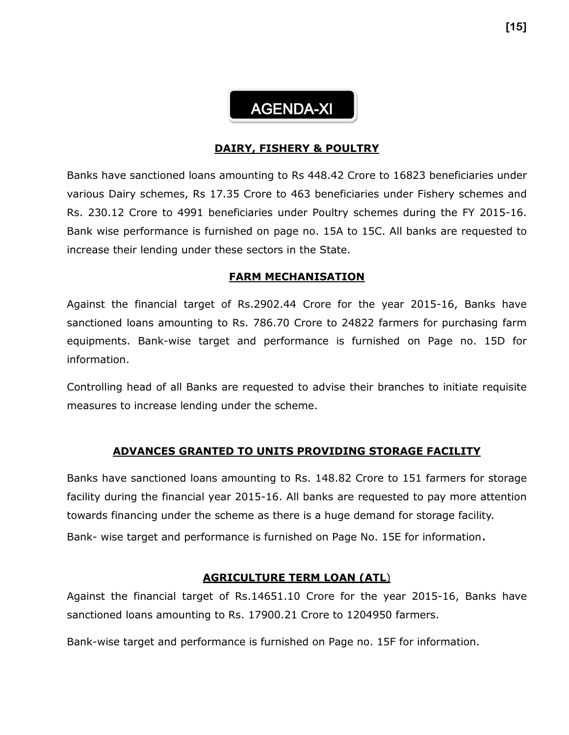# AGENDA-XI

#### **DAIRY, FISHERY & POULTRY**

Banks have sanctioned loans amounting to Rs 448.42 Crore to 16823 beneficiaries under various Dairy schemes, Rs 17.35 Crore to 463 beneficiaries under Fishery schemes and Rs. 230.12 Crore to 4991 beneficiaries under Poultry schemes during the FY 2015-16. Bank wise performance is furnished on page no. 15A to 15C. All banks are requested to increase their lending under these sectors in the State.

#### **FARM MECHANISATION**

Against the financial target of Rs.2902.44 Crore for the year 2015-16, Banks have sanctioned loans amounting to Rs. 786.70 Crore to 24822 farmers for purchasing farm equipments. Bank-wise target and performance is furnished on Page no. 15D for information.

Controlling head of all Banks are requested to advise their branches to initiate requisite measures to increase lending under the scheme.

#### **ADVANCES GRANTED TO UNITS PROVIDING STORAGE FACILITY**

Banks have sanctioned loans amounting to Rs. 148.82 Crore to 151 farmers for storage facility during the financial year 2015-16. All banks are requested to pay more attention towards financing under the scheme as there is a huge demand for storage facility. Bank- wise target and performance is furnished on Page No. 15E for information.

#### **AGRICULTURE TERM LOAN (ATL**)

Against the financial target of Rs.14651.10 Crore for the year 2015-16, Banks have sanctioned loans amounting to Rs. 17900.21 Crore to 1204950 farmers.

Bank-wise target and performance is furnished on Page no. 15F for information.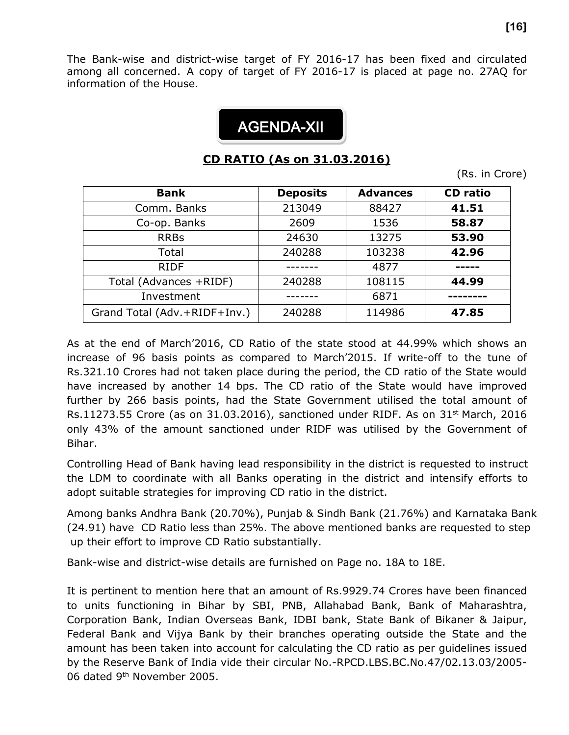The Bank-wise and district-wise target of FY 2016-17 has been fixed and circulated among all concerned. A copy of target of FY 2016-17 is placed at page no. 27AQ for information of the House.

# **0** AGENDA-XII

# **CD RATIO (As on 31.03.2016)**

(Rs. in Crore)

| <b>Bank</b>                  | <b>Deposits</b> | <b>Advances</b> | <b>CD</b> ratio |
|------------------------------|-----------------|-----------------|-----------------|
| Comm. Banks                  | 213049          | 88427           | 41.51           |
| Co-op. Banks                 | 2609            | 1536            | 58.87           |
| <b>RRBs</b>                  | 24630           | 13275           | 53.90           |
| Total                        | 240288          | 103238          | 42.96           |
| <b>RIDF</b>                  |                 | 4877            |                 |
| Total (Advances +RIDF)       | 240288          | 108115          | 44.99           |
| Investment                   |                 | 6871            |                 |
| Grand Total (Adv.+RIDF+Inv.) | 240288          | 114986          | 47.85           |

As at the end of March'2016, CD Ratio of the state stood at 44.99% which shows an increase of 96 basis points as compared to March'2015. If write-off to the tune of Rs.321.10 Crores had not taken place during the period, the CD ratio of the State would have increased by another 14 bps. The CD ratio of the State would have improved further by 266 basis points, had the State Government utilised the total amount of Rs.11273.55 Crore (as on 31.03.2016), sanctioned under RIDF. As on 31<sup>st</sup> March, 2016 only 43% of the amount sanctioned under RIDF was utilised by the Government of Bihar.

Controlling Head of Bank having lead responsibility in the district is requested to instruct the LDM to coordinate with all Banks operating in the district and intensify efforts to adopt suitable strategies for improving CD ratio in the district.

Among banks Andhra Bank (20.70%), Punjab & Sindh Bank (21.76%) and Karnataka Bank (24.91) have CD Ratio less than 25%. The above mentioned banks are requested to step up their effort to improve CD Ratio substantially.

Bank-wise and district-wise details are furnished on Page no. 18A to 18E.

It is pertinent to mention here that an amount of Rs.9929.74 Crores have been financed to units functioning in Bihar by SBI, PNB, Allahabad Bank, Bank of Maharashtra, Corporation Bank, Indian Overseas Bank, IDBI bank, State Bank of Bikaner & Jaipur, Federal Bank and Vijya Bank by their branches operating outside the State and the amount has been taken into account for calculating the CD ratio as per guidelines issued by the Reserve Bank of India vide their circular No.-RPCD.LBS.BC.No.47/02.13.03/2005- 06 dated 9th November 2005.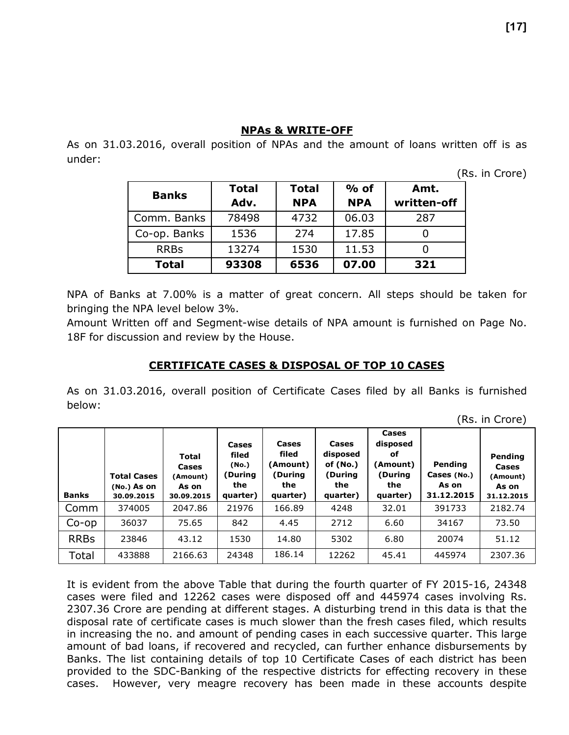#### **NPAs & WRITE-OFF**

As on 31.03.2016, overall position of NPAs and the amount of loans written off is as under:

(Rs. in Crore)

| <b>Banks</b> | <b>Total</b> | <b>Total</b> | $%$ of     | Amt.        |
|--------------|--------------|--------------|------------|-------------|
|              | Adv.         | <b>NPA</b>   | <b>NPA</b> | written-off |
| Comm. Banks  | 78498        | 4732         | 06.03      | 287         |
| Co-op. Banks | 1536         | 274          | 17.85      |             |
| <b>RRBs</b>  | 13274        | 1530         | 11.53      |             |
| <b>Total</b> | 93308        | 6536         | 07.00      | 321         |

NPA of Banks at 7.00% is a matter of great concern. All steps should be taken for bringing the NPA level below 3%.

Amount Written off and Segment-wise details of NPA amount is furnished on Page No. 18F for discussion and review by the House.

#### **CERTIFICATE CASES & DISPOSAL OF TOP 10 CASES**

As on 31.03.2016, overall position of Certificate Cases filed by all Banks is furnished below:

| <b>Banks</b> | <b>Total Cases</b><br>$(No.)$ As on<br>30.09.2015 | <b>Total</b><br><b>Cases</b><br>(Amount)<br>As on<br>30.09.2015 | Cases<br>filed<br>(No.)<br>(During<br>the<br>quarter) | Cases<br>filed<br>(Amount)<br>(During<br>the<br>quarter) | Cases<br>disposed<br>of $(No.)$<br>(During<br>the<br>quarter) | Cases<br>disposed<br>оf<br>(Amount)<br>(During<br>the<br>quarter) | Pending<br>Cases (No.)<br>As on<br>31.12.2015 | Pending<br>Cases<br>(Amount)<br>As on<br>31.12.2015 |
|--------------|---------------------------------------------------|-----------------------------------------------------------------|-------------------------------------------------------|----------------------------------------------------------|---------------------------------------------------------------|-------------------------------------------------------------------|-----------------------------------------------|-----------------------------------------------------|
| Comm         | 374005                                            | 2047.86                                                         | 21976                                                 | 166.89                                                   | 4248                                                          | 32.01                                                             | 391733                                        | 2182.74                                             |
| $Co$ -op     | 36037                                             | 75.65                                                           | 842                                                   | 4.45                                                     | 2712                                                          | 6.60                                                              | 34167                                         | 73.50                                               |
| <b>RRBs</b>  | 23846                                             | 43.12                                                           | 1530                                                  | 14.80                                                    | 5302                                                          | 6.80                                                              | 20074                                         | 51.12                                               |
| Total        | 433888                                            | 2166.63                                                         | 24348                                                 | 186.14                                                   | 12262                                                         | 45.41                                                             | 445974                                        | 2307.36                                             |

It is evident from the above Table that during the fourth quarter of FY 2015-16, 24348 cases were filed and 12262 cases were disposed off and 445974 cases involving Rs. 2307.36 Crore are pending at different stages. A disturbing trend in this data is that the disposal rate of certificate cases is much slower than the fresh cases filed, which results in increasing the no. and amount of pending cases in each successive quarter. This large amount of bad loans, if recovered and recycled, can further enhance disbursements by Banks. The list containing details of top 10 Certificate Cases of each district has been provided to the SDC-Banking of the respective districts for effecting recovery in these cases. However, very meagre recovery has been made in these accounts despite

(Rs. in Crore)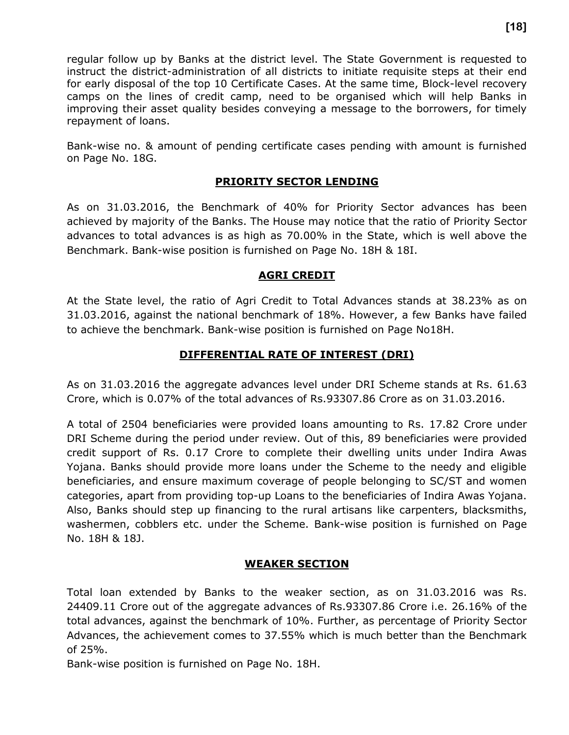regular follow up by Banks at the district level. The State Government is requested to instruct the district-administration of all districts to initiate requisite steps at their end for early disposal of the top 10 Certificate Cases. At the same time, Block-level recovery camps on the lines of credit camp, need to be organised which will help Banks in improving their asset quality besides conveying a message to the borrowers, for timely repayment of loans.

Bank-wise no. & amount of pending certificate cases pending with amount is furnished on Page No. 18G.

## **PRIORITY SECTOR LENDING**

As on 31.03.2016, the Benchmark of 40% for Priority Sector advances has been achieved by majority of the Banks. The House may notice that the ratio of Priority Sector advances to total advances is as high as 70.00% in the State, which is well above the Benchmark. Bank-wise position is furnished on Page No. 18H & 18I.

## **AGRI CREDIT**

At the State level, the ratio of Agri Credit to Total Advances stands at 38.23% as on 31.03.2016, against the national benchmark of 18%. However, a few Banks have failed to achieve the benchmark. Bank-wise position is furnished on Page No18H.

## **DIFFERENTIAL RATE OF INTEREST (DRI)**

As on 31.03.2016 the aggregate advances level under DRI Scheme stands at Rs. 61.63 Crore, which is 0.07% of the total advances of Rs.93307.86 Crore as on 31.03.2016.

A total of 2504 beneficiaries were provided loans amounting to Rs. 17.82 Crore under DRI Scheme during the period under review. Out of this, 89 beneficiaries were provided credit support of Rs. 0.17 Crore to complete their dwelling units under Indira Awas Yojana. Banks should provide more loans under the Scheme to the needy and eligible beneficiaries, and ensure maximum coverage of people belonging to SC/ST and women categories, apart from providing top-up Loans to the beneficiaries of Indira Awas Yojana. Also, Banks should step up financing to the rural artisans like carpenters, blacksmiths, washermen, cobblers etc. under the Scheme. Bank-wise position is furnished on Page No. 18H & 18J.

## **WEAKER SECTION**

Total loan extended by Banks to the weaker section, as on 31.03.2016 was Rs. 24409.11 Crore out of the aggregate advances of Rs.93307.86 Crore i.e. 26.16% of the total advances, against the benchmark of 10%. Further, as percentage of Priority Sector Advances, the achievement comes to 37.55% which is much better than the Benchmark of 25%.

Bank-wise position is furnished on Page No. 18H.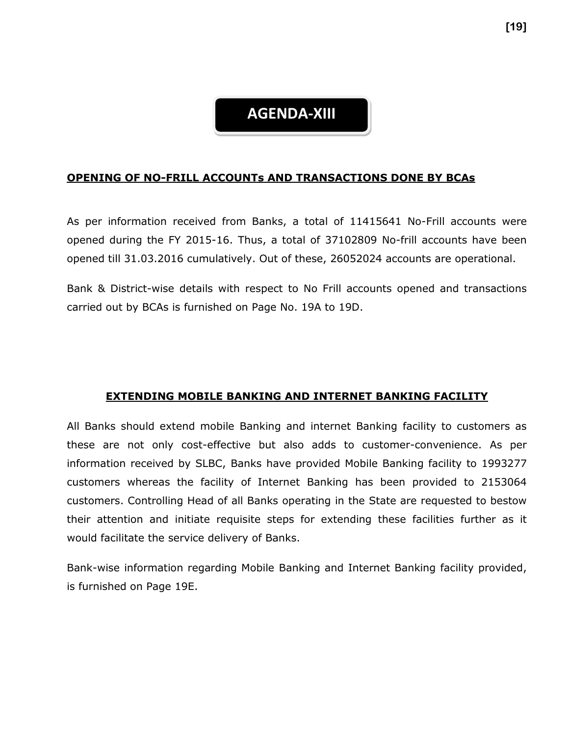## **AGENDA-XIII**

#### **OPENING OF NO-FRILL ACCOUNTs AND TRANSACTIONS DONE BY BCAs**

As per information received from Banks, a total of 11415641 No-Frill accounts were opened during the FY 2015-16. Thus, a total of 37102809 No-frill accounts have been opened till 31.03.2016 cumulatively. Out of these, 26052024 accounts are operational.

Bank & District-wise details with respect to No Frill accounts opened and transactions carried out by BCAs is furnished on Page No. 19A to 19D.

#### **EXTENDING MOBILE BANKING AND INTERNET BANKING FACILITY**

All Banks should extend mobile Banking and internet Banking facility to customers as these are not only cost-effective but also adds to customer-convenience. As per information received by SLBC, Banks have provided Mobile Banking facility to 1993277 customers whereas the facility of Internet Banking has been provided to 2153064 customers. Controlling Head of all Banks operating in the State are requested to bestow their attention and initiate requisite steps for extending these facilities further as it would facilitate the service delivery of Banks.

Bank-wise information regarding Mobile Banking and Internet Banking facility provided, is furnished on Page 19E.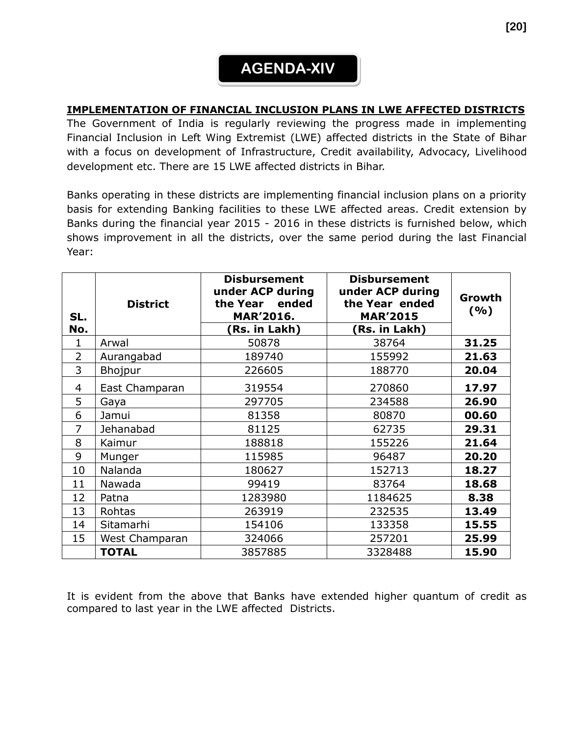# **AGENDA-XIV**

## **IMPLEMENTATION OF FINANCIAL INCLUSION PLANS IN LWE AFFECTED DISTRICTS**

The Government of India is regularly reviewing the progress made in implementing Financial Inclusion in Left Wing Extremist (LWE) affected districts in the State of Bihar with a focus on development of Infrastructure, Credit availability, Advocacy, Livelihood development etc. There are 15 LWE affected districts in Bihar.

Banks operating in these districts are implementing financial inclusion plans on a priority basis for extending Banking facilities to these LWE affected areas. Credit extension by Banks during the financial year 2015 - 2016 in these districts is furnished below, which shows improvement in all the districts, over the same period during the last Financial Year:

| SL.<br>No.     | <b>District</b> | <b>Disbursement</b><br>under ACP during<br>the Year<br>ended<br><b>MAR'2016.</b> | <b>Disbursement</b><br>under ACP during<br>the Year ended<br><b>MAR'2015</b> | Growth<br>(%) |
|----------------|-----------------|----------------------------------------------------------------------------------|------------------------------------------------------------------------------|---------------|
|                |                 | (Rs. in Lakh)                                                                    | (Rs. in Lakh)                                                                |               |
| 1              | Arwal           | 50878                                                                            | 38764                                                                        | 31.25         |
| $\overline{2}$ | Aurangabad      | 189740                                                                           | 155992                                                                       | 21.63         |
| 3              | Bhojpur         | 226605                                                                           | 188770                                                                       | 20.04         |
| 4              | East Champaran  | 319554                                                                           | 270860                                                                       | 17.97         |
| 5              | Gaya            | 297705                                                                           | 234588                                                                       | 26.90         |
| 6              | Jamui           | 81358                                                                            | 80870                                                                        | 00.60         |
| 7              | Jehanabad       | 81125                                                                            | 62735                                                                        | 29.31         |
| 8              | Kaimur          | 188818                                                                           | 155226                                                                       | 21.64         |
| 9              | Munger          | 115985                                                                           | 96487                                                                        | 20.20         |
| 10             | Nalanda         | 180627                                                                           | 152713                                                                       | 18.27         |
| 11             | Nawada          | 99419                                                                            | 83764                                                                        | 18.68         |
| 12             | Patna           | 1283980                                                                          | 1184625                                                                      | 8.38          |
| 13             | Rohtas          | 263919                                                                           | 232535                                                                       | 13.49         |
| 14             | Sitamarhi       | 154106                                                                           | 133358                                                                       | 15.55         |
| 15             | West Champaran  | 324066                                                                           | 257201                                                                       | 25.99         |
|                | <b>TOTAL</b>    | 3857885                                                                          | 3328488                                                                      | 15.90         |

It is evident from the above that Banks have extended higher quantum of credit as compared to last year in the LWE affected Districts.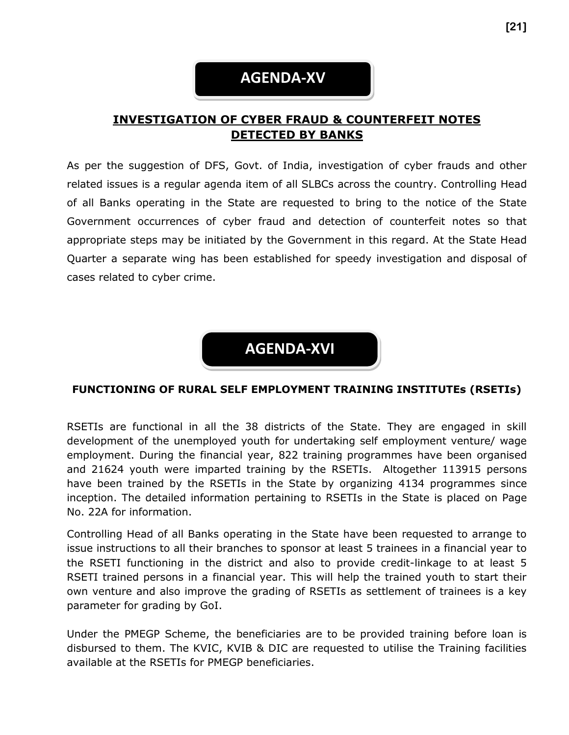## **AGENDA-XV**

## **INVESTIGATION OF CYBER FRAUD & COUNTERFEIT NOTES DETECTED BY BANKS**

As per the suggestion of DFS, Govt. of India, investigation of cyber frauds and other related issues is a regular agenda item of all SLBCs across the country. Controlling Head of all Banks operating in the State are requested to bring to the notice of the State Government occurrences of cyber fraud and detection of counterfeit notes so that appropriate steps may be initiated by the Government in this regard. At the State Head Quarter a separate wing has been established for speedy investigation and disposal of cases related to cyber crime.

**AGENDA-XVI**

#### **FUNCTIONING OF RURAL SELF EMPLOYMENT TRAINING INSTITUTEs (RSETIs)**

RSETIs are functional in all the 38 districts of the State. They are engaged in skill development of the unemployed youth for undertaking self employment venture/ wage employment. During the financial year, 822 training programmes have been organised and 21624 youth were imparted training by the RSETIs. Altogether 113915 persons have been trained by the RSETIs in the State by organizing 4134 programmes since inception. The detailed information pertaining to RSETIs in the State is placed on Page No. 22A for information.

Controlling Head of all Banks operating in the State have been requested to arrange to issue instructions to all their branches to sponsor at least 5 trainees in a financial year to the RSETI functioning in the district and also to provide credit-linkage to at least 5 RSETI trained persons in a financial year. This will help the trained youth to start their own venture and also improve the grading of RSETIs as settlement of trainees is a key parameter for grading by GoI.

Under the PMEGP Scheme, the beneficiaries are to be provided training before loan is disbursed to them. The KVIC, KVIB & DIC are requested to utilise the Training facilities available at the RSETIs for PMEGP beneficiaries.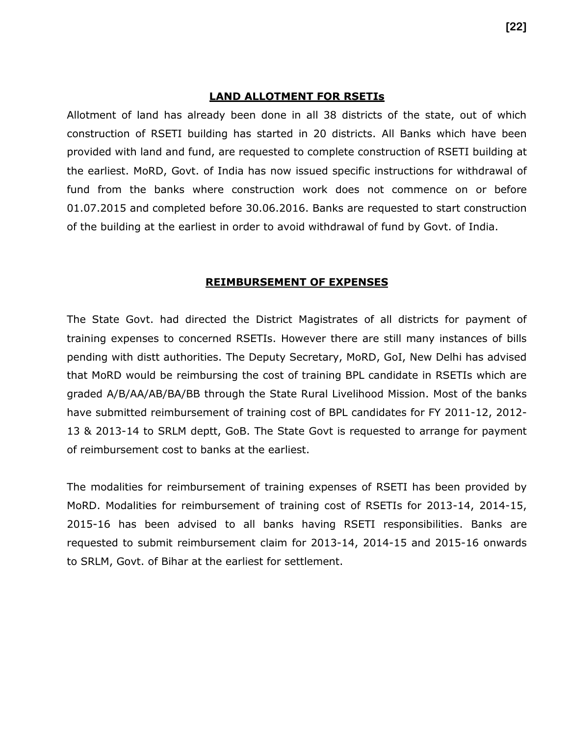#### **LAND ALLOTMENT FOR RSETIs**

Allotment of land has already been done in all 38 districts of the state, out of which construction of RSETI building has started in 20 districts. All Banks which have been provided with land and fund, are requested to complete construction of RSETI building at the earliest. MoRD, Govt. of India has now issued specific instructions for withdrawal of fund from the banks where construction work does not commence on or before 01.07.2015 and completed before 30.06.2016. Banks are requested to start construction of the building at the earliest in order to avoid withdrawal of fund by Govt. of India.

#### **REIMBURSEMENT OF EXPENSES**

The State Govt. had directed the District Magistrates of all districts for payment of training expenses to concerned RSETIs. However there are still many instances of bills pending with distt authorities. The Deputy Secretary, MoRD, GoI, New Delhi has advised that MoRD would be reimbursing the cost of training BPL candidate in RSETIs which are graded A/B/AA/AB/BA/BB through the State Rural Livelihood Mission. Most of the banks have submitted reimbursement of training cost of BPL candidates for FY 2011-12, 2012- 13 & 2013-14 to SRLM deptt, GoB. The State Govt is requested to arrange for payment of reimbursement cost to banks at the earliest.

The modalities for reimbursement of training expenses of RSETI has been provided by MoRD. Modalities for reimbursement of training cost of RSETIs for 2013-14, 2014-15, 2015-16 has been advised to all banks having RSETI responsibilities. Banks are requested to submit reimbursement claim for 2013-14, 2014-15 and 2015-16 onwards to SRLM, Govt. of Bihar at the earliest for settlement.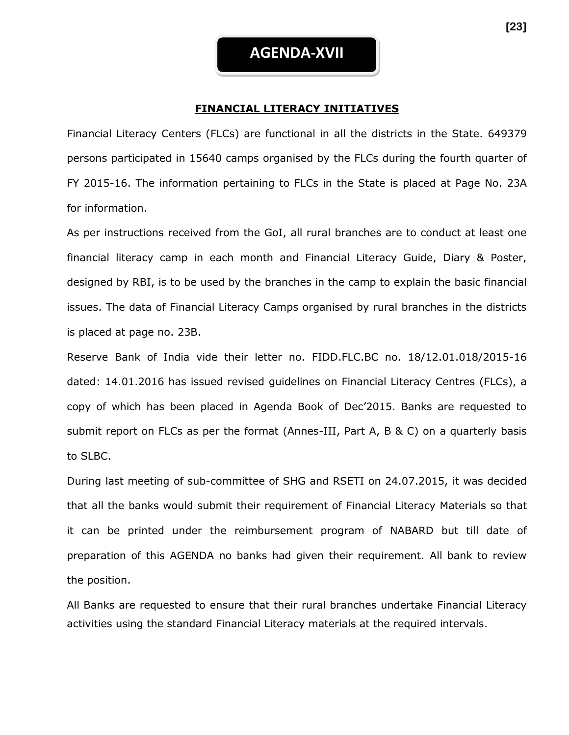#### **FINANCIAL LITERACY INITIATIVES**

Financial Literacy Centers (FLCs) are functional in all the districts in the State. 649379 persons participated in 15640 camps organised by the FLCs during the fourth quarter of FY 2015-16. The information pertaining to FLCs in the State is placed at Page No. 23A for information.

As per instructions received from the GoI, all rural branches are to conduct at least one financial literacy camp in each month and Financial Literacy Guide, Diary & Poster, designed by RBI, is to be used by the branches in the camp to explain the basic financial issues. The data of Financial Literacy Camps organised by rural branches in the districts is placed at page no. 23B.

Reserve Bank of India vide their letter no. FIDD.FLC.BC no. 18/12.01.018/2015-16 dated: 14.01.2016 has issued revised guidelines on Financial Literacy Centres (FLCs), a copy of which has been placed in Agenda Book of Dec'2015. Banks are requested to submit report on FLCs as per the format (Annes-III, Part A, B & C) on a quarterly basis to SLBC.

During last meeting of sub-committee of SHG and RSETI on 24.07.2015, it was decided that all the banks would submit their requirement of Financial Literacy Materials so that it can be printed under the reimbursement program of NABARD but till date of preparation of this AGENDA no banks had given their requirement. All bank to review the position.

All Banks are requested to ensure that their rural branches undertake Financial Literacy activities using the standard Financial Literacy materials at the required intervals.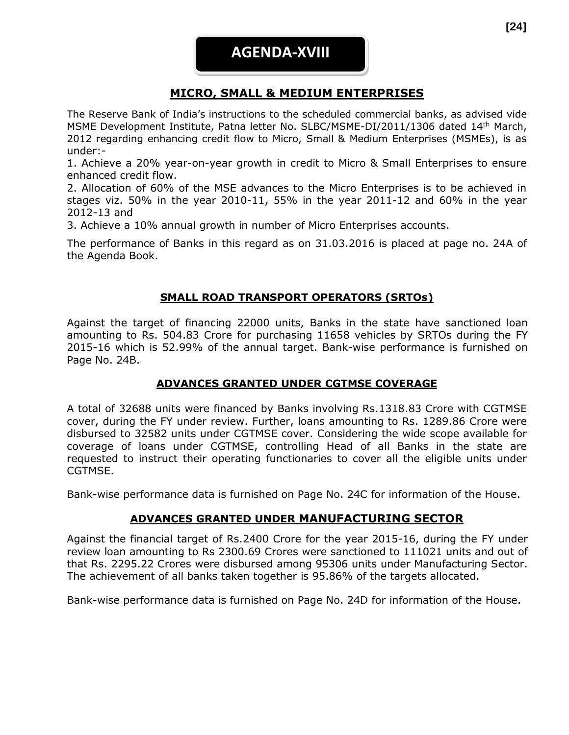## **MICRO, SMALL & MEDIUM ENTERPRISES**

The Reserve Bank of India's instructions to the scheduled commercial banks, as advised vide MSME Development Institute, Patna letter No. SLBC/MSME-DI/2011/1306 dated 14th March, 2012 regarding enhancing credit flow to Micro, Small & Medium Enterprises (MSMEs), is as under:-

1. Achieve a 20% year-on-year growth in credit to Micro & Small Enterprises to ensure enhanced credit flow.

2. Allocation of 60% of the MSE advances to the Micro Enterprises is to be achieved in stages viz. 50% in the year 2010-11, 55% in the year 2011-12 and 60% in the year 2012-13 and

3. Achieve a 10% annual growth in number of Micro Enterprises accounts.

The performance of Banks in this regard as on 31.03.2016 is placed at page no. 24A of the Agenda Book.

## **SMALL ROAD TRANSPORT OPERATORS (SRTOs)**

Against the target of financing 22000 units, Banks in the state have sanctioned loan amounting to Rs. 504.83 Crore for purchasing 11658 vehicles by SRTOs during the FY 2015-16 which is 52.99% of the annual target. Bank-wise performance is furnished on Page No. 24B.

## **ADVANCES GRANTED UNDER CGTMSE COVERAGE**

A total of 32688 units were financed by Banks involving Rs.1318.83 Crore with CGTMSE cover, during the FY under review. Further, loans amounting to Rs. 1289.86 Crore were disbursed to 32582 units under CGTMSE cover. Considering the wide scope available for coverage of loans under CGTMSE, controlling Head of all Banks in the state are requested to instruct their operating functionaries to cover all the eligible units under CGTMSE.

Bank-wise performance data is furnished on Page No. 24C for information of the House.

## **ADVANCES GRANTED UNDER MANUFACTURING SECTOR**

Against the financial target of Rs.2400 Crore for the year 2015-16, during the FY under review loan amounting to Rs 2300.69 Crores were sanctioned to 111021 units and out of that Rs. 2295.22 Crores were disbursed among 95306 units under Manufacturing Sector. The achievement of all banks taken together is 95.86% of the targets allocated.

Bank-wise performance data is furnished on Page No. 24D for information of the House.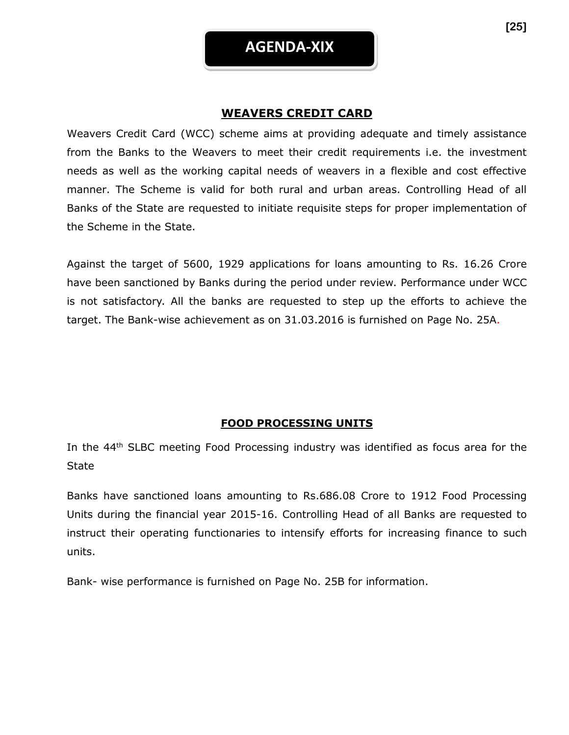## **WEAVERS CREDIT CARD**

Weavers Credit Card (WCC) scheme aims at providing adequate and timely assistance from the Banks to the Weavers to meet their credit requirements i.e. the investment needs as well as the working capital needs of weavers in a flexible and cost effective manner. The Scheme is valid for both rural and urban areas. Controlling Head of all Banks of the State are requested to initiate requisite steps for proper implementation of the Scheme in the State.

Against the target of 5600, 1929 applications for loans amounting to Rs. 16.26 Crore have been sanctioned by Banks during the period under review. Performance under WCC is not satisfactory. All the banks are requested to step up the efforts to achieve the target. The Bank-wise achievement as on 31.03.2016 is furnished on Page No. 25A.

## **FOOD PROCESSING UNITS**

In the 44<sup>th</sup> SLBC meeting Food Processing industry was identified as focus area for the **State** 

Banks have sanctioned loans amounting to Rs.686.08 Crore to 1912 Food Processing Units during the financial year 2015-16. Controlling Head of all Banks are requested to instruct their operating functionaries to intensify efforts for increasing finance to such units.

Bank- wise performance is furnished on Page No. 25B for information.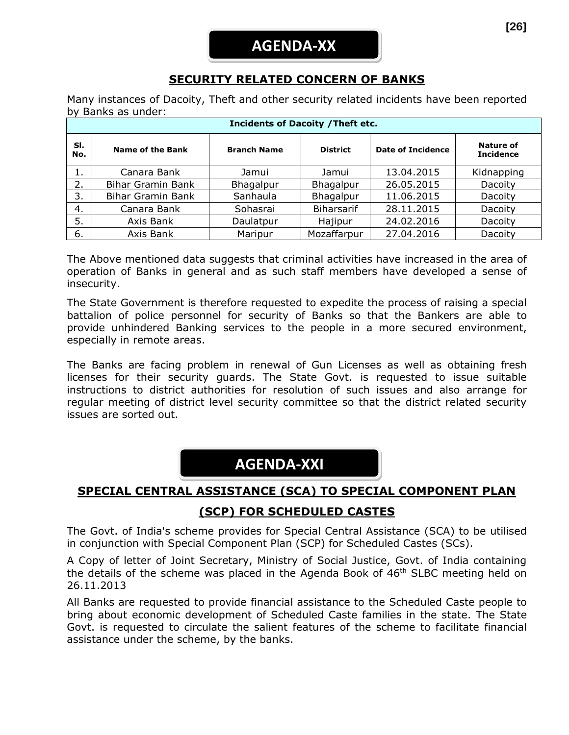## **SECURITY RELATED CONCERN OF BANKS**

Many instances of Dacoity, Theft and other security related incidents have been reported by Banks as under:

| <b>Incidents of Dacoity / Theft etc.</b> |                          |                    |                   |                          |                                      |  |  |  |
|------------------------------------------|--------------------------|--------------------|-------------------|--------------------------|--------------------------------------|--|--|--|
| SI.<br>No.                               | <b>Name of the Bank</b>  | <b>Branch Name</b> | <b>District</b>   | <b>Date of Incidence</b> | <b>Nature of</b><br><b>Incidence</b> |  |  |  |
| 1.                                       | Canara Bank              | Jamui              | Jamui             | 13.04.2015               | Kidnapping                           |  |  |  |
| 2.                                       | <b>Bihar Gramin Bank</b> | Bhagalpur          | Bhagalpur         | 26.05.2015               | Dacoity                              |  |  |  |
| 3.                                       | <b>Bihar Gramin Bank</b> | Sanhaula           | Bhagalpur         | 11.06.2015               | Dacoity                              |  |  |  |
| 4.                                       | Canara Bank              | Sohasrai           | <b>Biharsarif</b> | 28.11.2015               | Dacoity                              |  |  |  |
| 5.                                       | Axis Bank                | Daulatpur          | Hajipur           | 24.02.2016               | Dacoity                              |  |  |  |
| 6.                                       | Axis Bank                | Maripur            | Mozaffarpur       | 27.04.2016               | Dacoity                              |  |  |  |

The Above mentioned data suggests that criminal activities have increased in the area of operation of Banks in general and as such staff members have developed a sense of insecurity.

The State Government is therefore requested to expedite the process of raising a special battalion of police personnel for security of Banks so that the Bankers are able to provide unhindered Banking services to the people in a more secured environment, especially in remote areas.

The Banks are facing problem in renewal of Gun Licenses as well as obtaining fresh licenses for their security guards. The State Govt. is requested to issue suitable instructions to district authorities for resolution of such issues and also arrange for regular meeting of district level security committee so that the district related security issues are sorted out.

# **AGENDA-XXI**

# **SPECIAL CENTRAL ASSISTANCE (SCA) TO SPECIAL COMPONENT PLAN**

## **(SCP) FOR SCHEDULED CASTES**

The Govt. of India's scheme provides for Special Central Assistance (SCA) to be utilised in conjunction with Special Component Plan (SCP) for Scheduled Castes (SCs).

A Copy of letter of Joint Secretary, Ministry of Social Justice, Govt. of India containing the details of the scheme was placed in the Agenda Book of 46<sup>th</sup> SLBC meeting held on 26.11.2013

All Banks are requested to provide financial assistance to the Scheduled Caste people to bring about economic development of Scheduled Caste families in the state. The State Govt. is requested to circulate the salient features of the scheme to facilitate financial assistance under the scheme, by the banks.